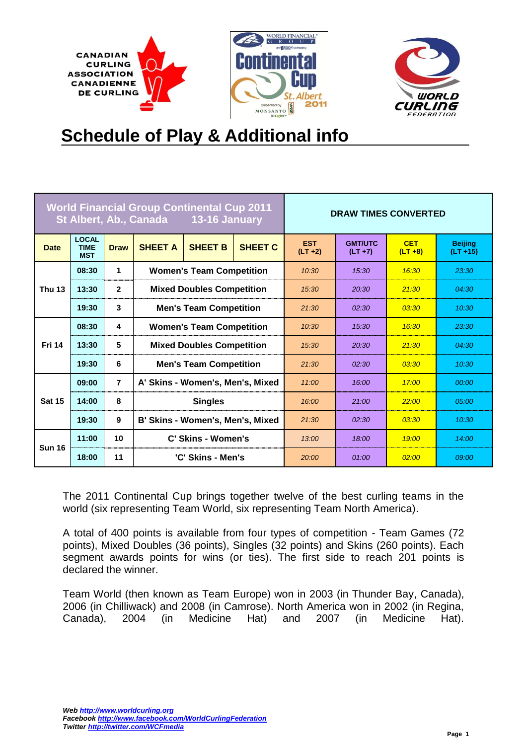



# **Schedule of Play & Additional info**

| <b>World Financial Group Continental Cup 2011</b><br>St Albert, Ab., Canada 13-16 January |                                           |                |                                  | <b>DRAW TIMES CONVERTED</b>      |                |                          |                              |                          |                               |
|-------------------------------------------------------------------------------------------|-------------------------------------------|----------------|----------------------------------|----------------------------------|----------------|--------------------------|------------------------------|--------------------------|-------------------------------|
| <b>Date</b>                                                                               | <b>LOCAL</b><br><b>TIME</b><br><b>MST</b> | <b>Draw</b>    | <b>SHEET A</b>                   | <b>SHEET B</b>                   | <b>SHEET C</b> | <b>EST</b><br>$(LT + 2)$ | <b>GMT/UTC</b><br>$(LT + 7)$ | <b>CET</b><br>$(LT + 8)$ | <b>Beijing</b><br>$(LT + 15)$ |
|                                                                                           | 08:30                                     | 1              |                                  | <b>Women's Team Competition</b>  |                | 10:30                    | 15:30                        | 16:30                    | 23:30                         |
| <b>Thu 13</b>                                                                             | 13:30                                     | $\overline{2}$ |                                  | <b>Mixed Doubles Competition</b> |                | 15:30                    | 20:30                        | 21:30                    | 04:30                         |
|                                                                                           | 19:30                                     | 3              | <b>Men's Team Competition</b>    |                                  | 21.30          | 02:30                    | 03:30                        | 10:30                    |                               |
|                                                                                           | 08:30                                     | 4              | <b>Women's Team Competition</b>  |                                  | 10:30          | 15:30                    | 16:30                        | 23:30                    |                               |
| <b>Fri 14</b>                                                                             | 13:30                                     | 5              | <b>Mixed Doubles Competition</b> |                                  | 15:30          | 20:30                    | 21:30                        | 04:30                    |                               |
|                                                                                           | 19:30                                     | 6              | <b>Men's Team Competition</b>    |                                  | 21:30          | 02:30                    | 03:30                        | 10:30                    |                               |
|                                                                                           | 09:00                                     | $\overline{7}$ | A' Skins - Women's, Men's, Mixed |                                  |                | 11:00                    | 16:00                        | 17:00                    | 00:00                         |
| <b>Sat 15</b>                                                                             | 14:00                                     | 8              | <b>Singles</b>                   |                                  | 16:00          | 21:00                    | 22:00                        | 05:00                    |                               |
|                                                                                           | 19:30                                     | 9              | B' Skins - Women's, Men's, Mixed |                                  | 21.30          | 02:30                    | 03:30                        | 10:30                    |                               |
| <b>Sun 16</b>                                                                             | 11:00                                     | 10             |                                  | C' Skins - Women's               |                | 13:00                    | 18:00                        | 19:00                    | 14:00                         |
|                                                                                           | 18:00                                     | 11             |                                  | 'C' Skins - Men's                |                | 20:00                    | 01:00                        | 02:00                    | 09:00                         |

The 2011 Continental Cup brings together twelve of the best curling teams in the world (six representing Team World, six representing Team North America).

A total of 400 points is available from four types of competition - Team Games (72 points), Mixed Doubles (36 points), Singles (32 points) and Skins (260 points). Each segment awards points for wins (or ties). The first side to reach 201 points is declared the winner.

Team World (then known as Team Europe) won in 2003 (in Thunder Bay, Canada), 2006 (in Chilliwack) and 2008 (in Camrose). North America won in 2002 (in Regina, Canada), 2004 (in Medicine Hat) and 2007 (in Medicine Hat).